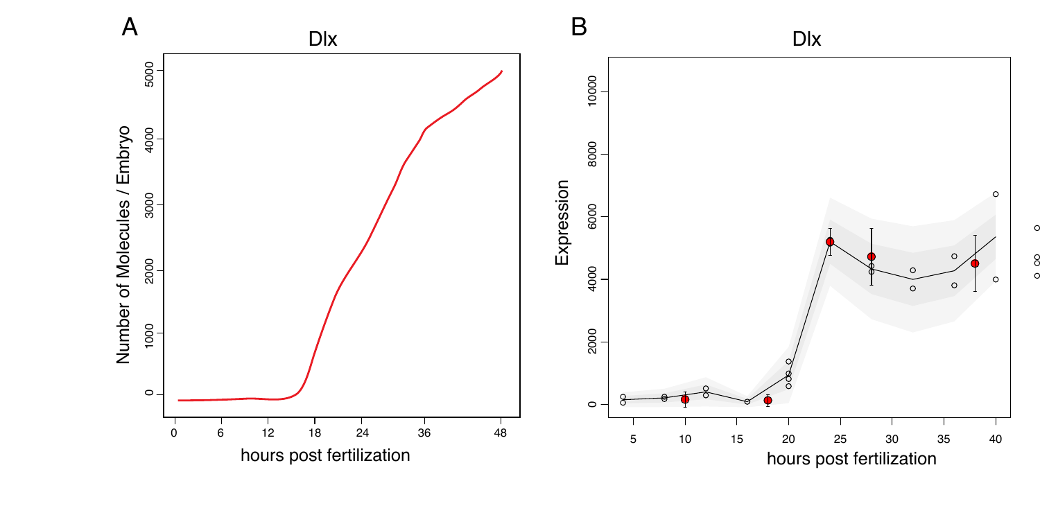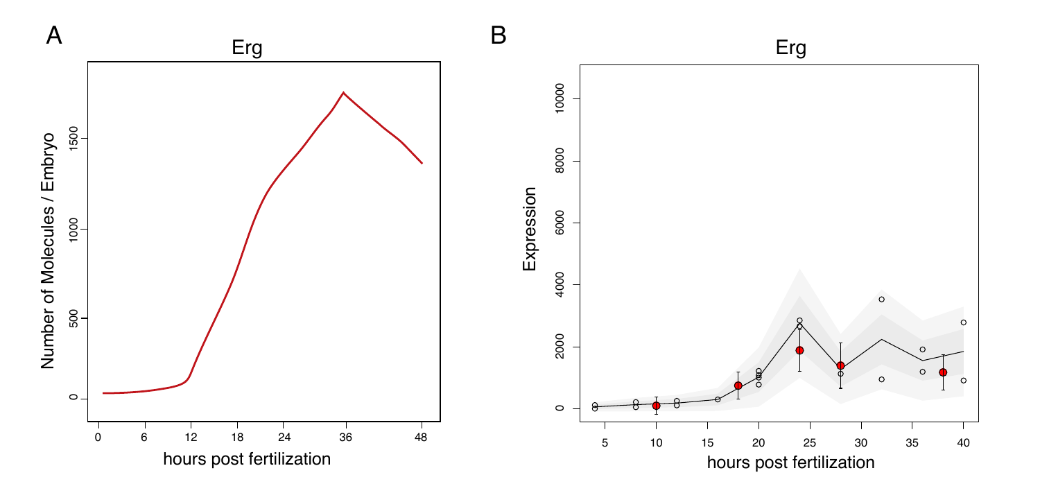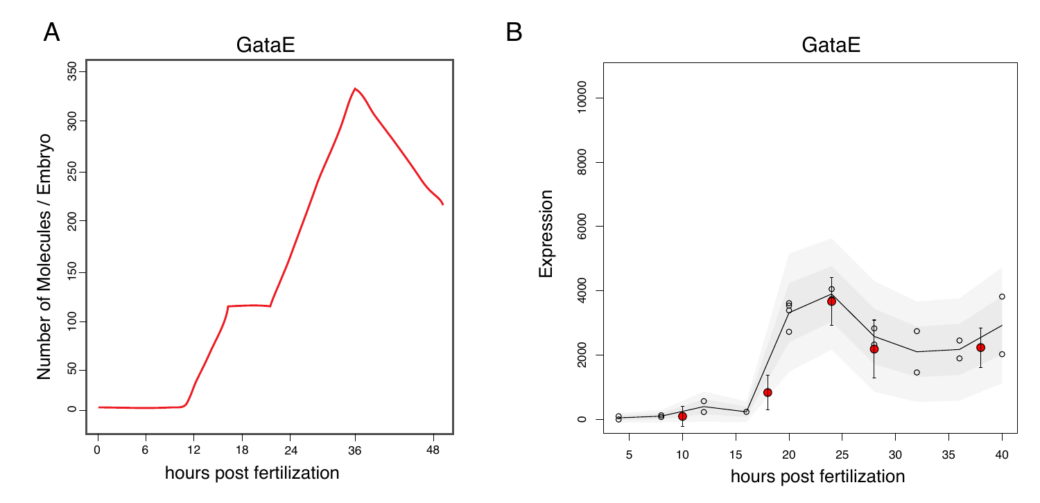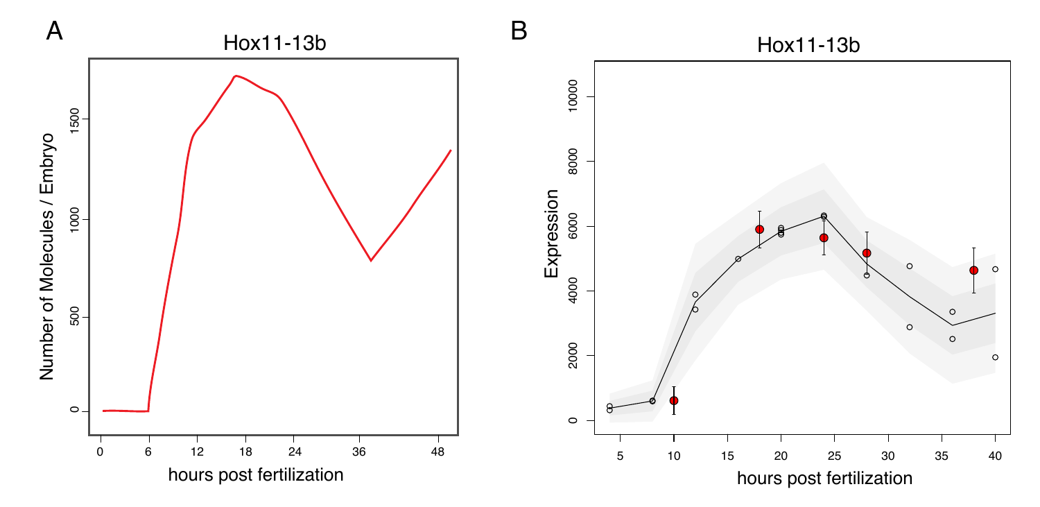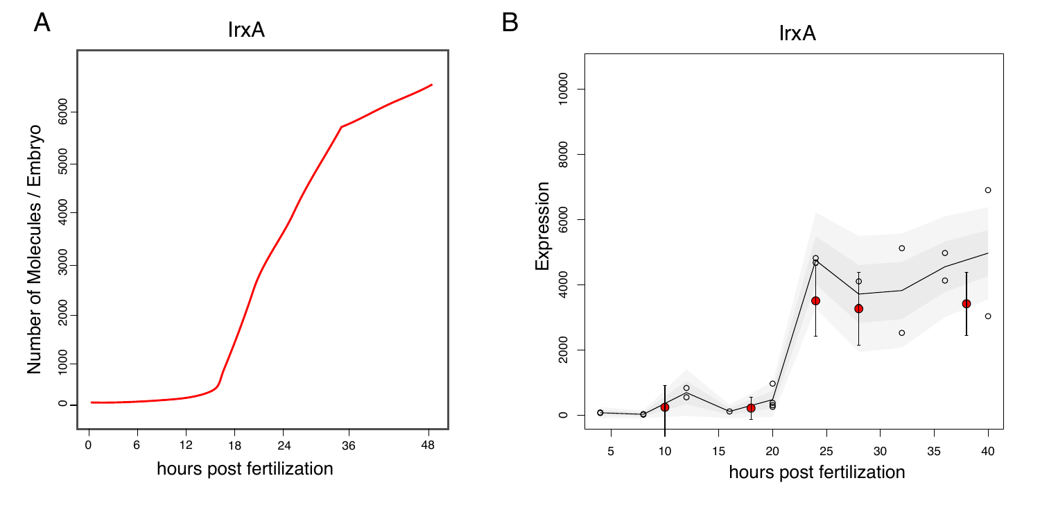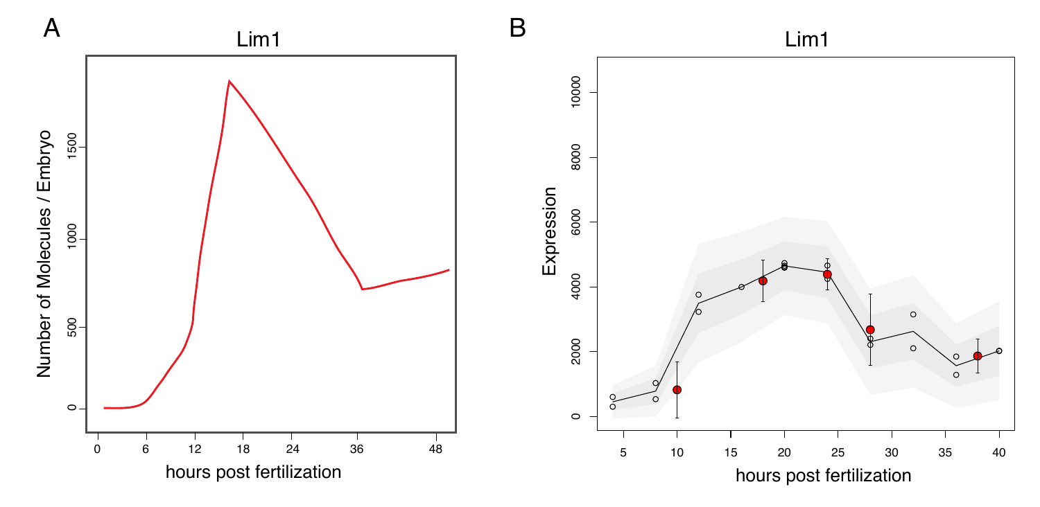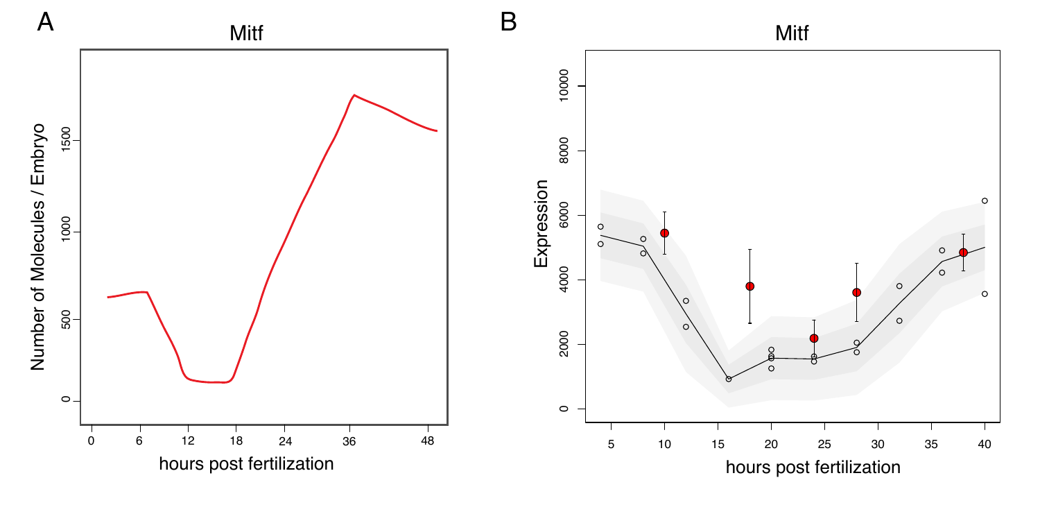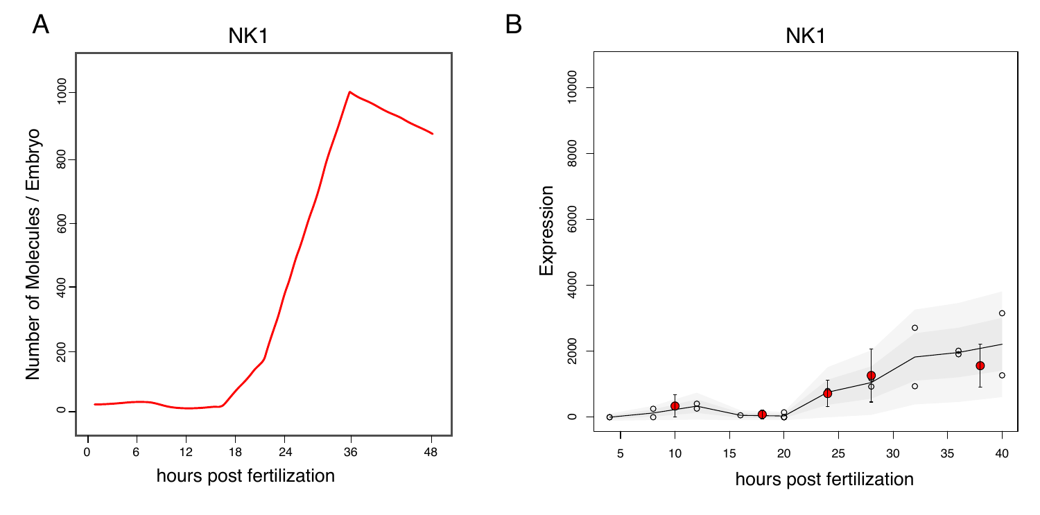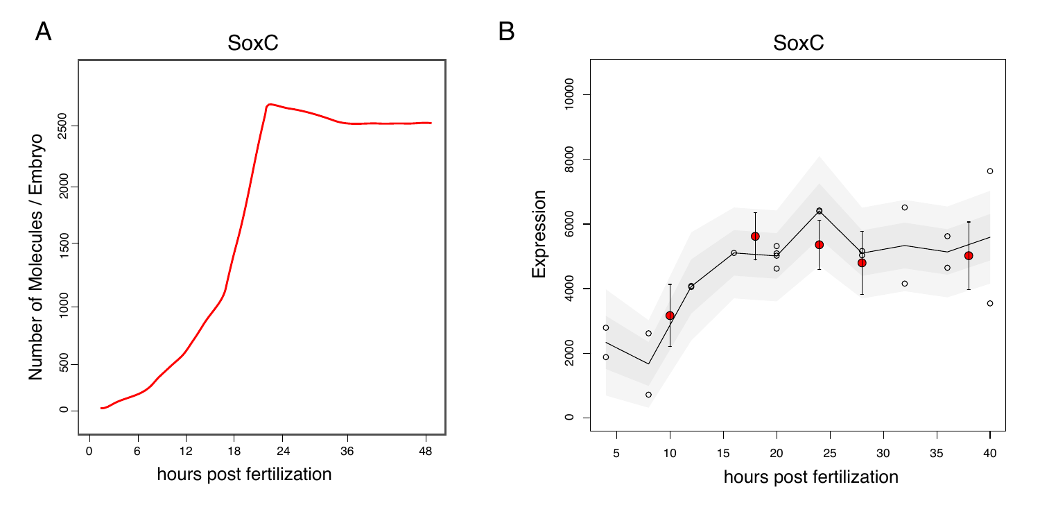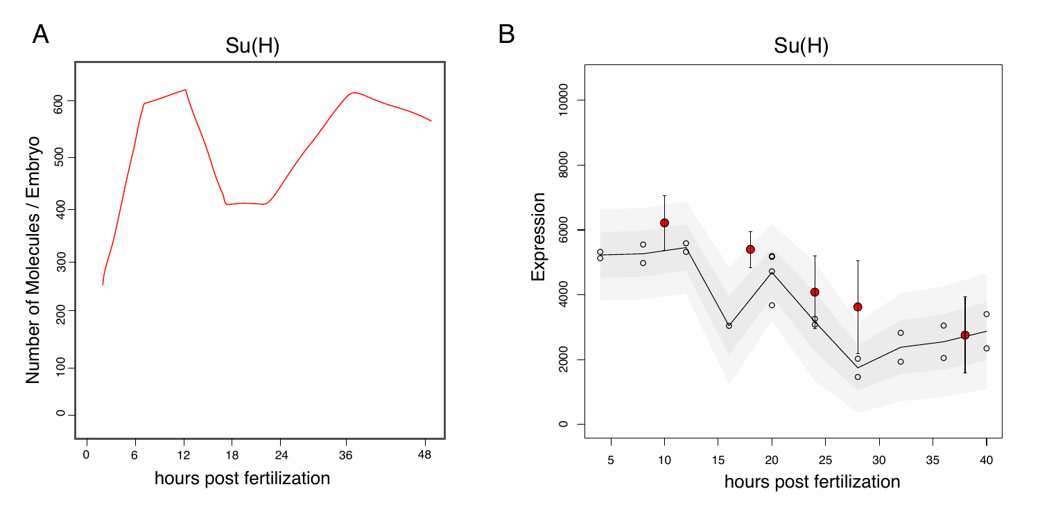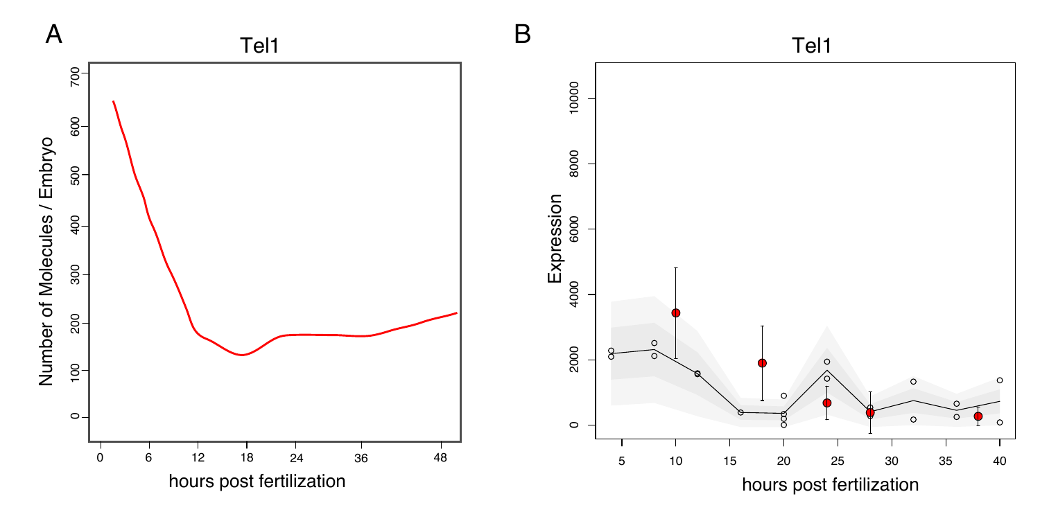